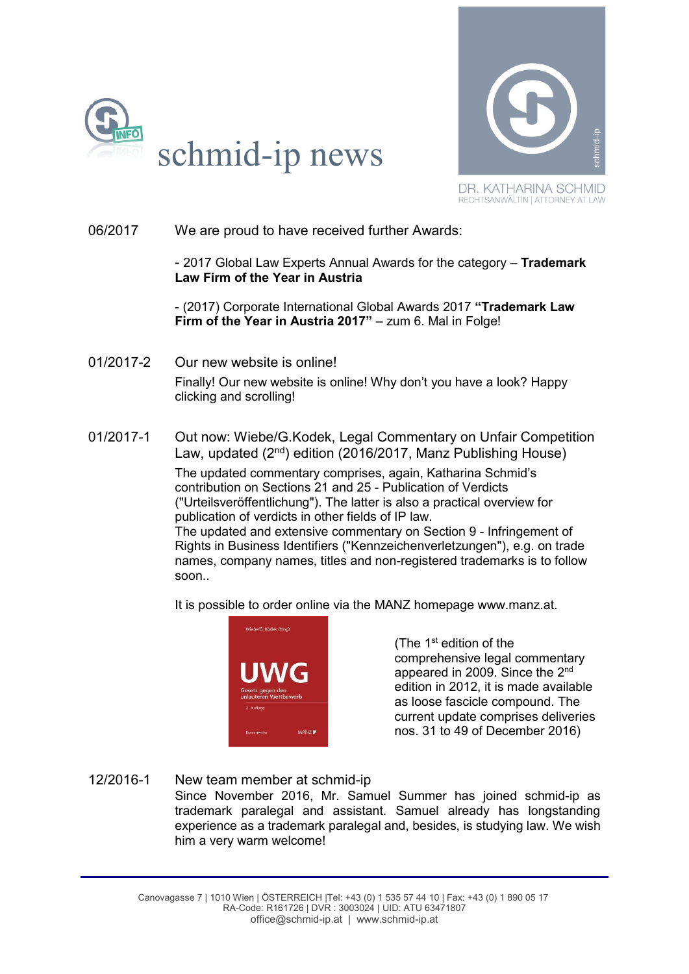



06/2017 We are proud to have received further Awards:

- 2017 Global Law Experts Annual Awards for the category – **Trademark Law Firm of the Year in Austria**

- (2017) Corporate International Global Awards 2017 **"Trademark Law Firm of the Year in Austria 2017"** – zum 6. Mal in Folge!

01/2017-2 Our new website is online! Finally! Our new website is online! Why don't you have a look? Happy clicking and scrolling!

01/2017-1 Out now: Wiebe/G.Kodek, Legal Commentary on Unfair Competition Law, updated  $(2<sup>nd</sup>)$  edition (2016/2017, Manz Publishing House)

> The updated commentary comprises, again, Katharina Schmid's contribution on Sections 21 and 25 - Publication of Verdicts ("Urteilsveröffentlichung"). The latter is also a practical overview for publication of verdicts in other fields of IP law. The updated and extensive commentary on Section 9 - Infringement of Rights in Business Identifiers ("Kennzeichenverletzungen"), e.g. on trade names, company names, titles and non-registered trademarks is to follow soon..

It is possible to order online via the [MANZ homepage](http://www.manz.at/list.html?isbn=978-3-214-09897-1) www.manz.at.



(The 1 st edition of the comprehensive legal commentary appeared in 2009. Since the 2nd edition in 2012, it is made available as loose fascicle compound. The current update comprises deliveries nos. 31 to 49 of December 2016)

12/2016-1 New team member at schmid-ip Since November 2016, Mr. Samuel Summer has joined schmid-ip as trademark paralegal and assistant. Samuel already has longstanding experience as a trademark paralegal and, besides, is studying law. We wish him a very warm welcome!